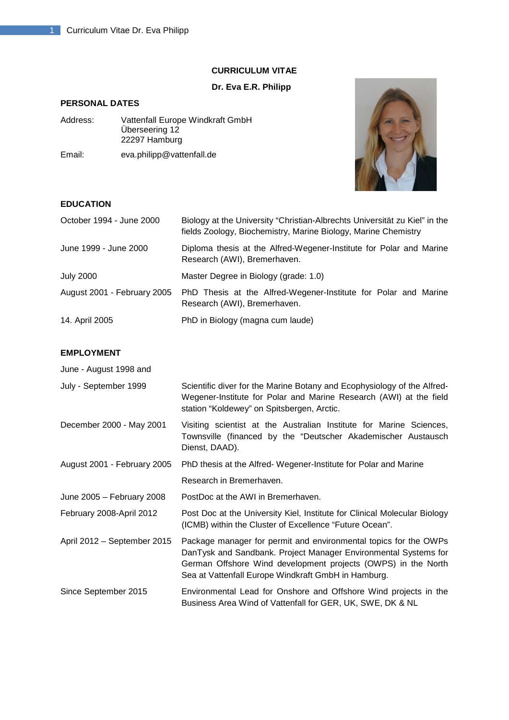# **CURRICULUM VITAE**

# **Dr. Eva E.R. Philipp**

# **PERSONAL DATES**

| Address: | Vattenfall Europe Windkraft GmbH<br>Überseering 12<br>22297 Hamburg |
|----------|---------------------------------------------------------------------|
| Email:   | eva.philipp@vattenfall.de                                           |



# **EDUCATION**

| October 1994 - June 2000    | Biology at the University "Christian-Albrechts Universität zu Kiel" in the<br>fields Zoology, Biochemistry, Marine Biology, Marine Chemistry |
|-----------------------------|----------------------------------------------------------------------------------------------------------------------------------------------|
| June 1999 - June 2000       | Diploma thesis at the Alfred-Wegener-Institute for Polar and Marine<br>Research (AWI), Bremerhaven.                                          |
| <b>July 2000</b>            | Master Degree in Biology (grade: 1.0)                                                                                                        |
| August 2001 - February 2005 | PhD Thesis at the Alfred-Wegener-Institute for Polar and Marine<br>Research (AWI), Bremerhaven.                                              |
| 14. April 2005              | PhD in Biology (magna cum laude)                                                                                                             |

# **EMPLOYMENT**

| 느껴! ㄴㄴ ! 삐ㄴ!ヾ!              |                                                                                                                                                                                                                                                             |
|-----------------------------|-------------------------------------------------------------------------------------------------------------------------------------------------------------------------------------------------------------------------------------------------------------|
| June - August 1998 and      |                                                                                                                                                                                                                                                             |
| July - September 1999       | Scientific diver for the Marine Botany and Ecophysiology of the Alfred-<br>Wegener-Institute for Polar and Marine Research (AWI) at the field<br>station "Koldewey" on Spitsbergen, Arctic.                                                                 |
| December 2000 - May 2001    | Visiting scientist at the Australian Institute for Marine Sciences,<br>Townsville (financed by the "Deutscher Akademischer Austausch<br>Dienst, DAAD).                                                                                                      |
| August 2001 - February 2005 | PhD thesis at the Alfred-Wegener-Institute for Polar and Marine                                                                                                                                                                                             |
|                             | Research in Bremerhaven.                                                                                                                                                                                                                                    |
| June 2005 - February 2008   | PostDoc at the AWI in Bremerhaven.                                                                                                                                                                                                                          |
| February 2008-April 2012    | Post Doc at the University Kiel, Institute for Clinical Molecular Biology<br>(ICMB) within the Cluster of Excellence "Future Ocean".                                                                                                                        |
| April 2012 - September 2015 | Package manager for permit and environmental topics for the OWPs<br>DanTysk and Sandbank. Project Manager Environmental Systems for<br>German Offshore Wind development projects (OWPS) in the North<br>Sea at Vattenfall Europe Windkraft GmbH in Hamburg. |
| Since September 2015        | Environmental Lead for Onshore and Offshore Wind projects in the<br>Business Area Wind of Vattenfall for GER, UK, SWE, DK & NL                                                                                                                              |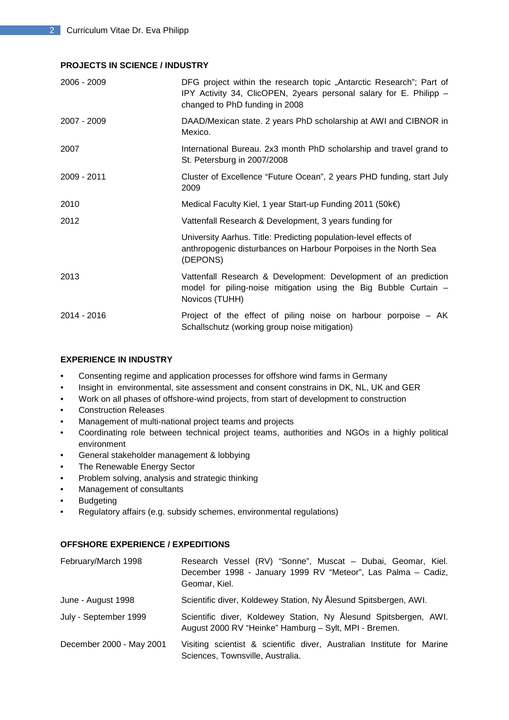#### **PROJECTS IN SCIENCE / INDUSTRY**

| 2006 - 2009 | DFG project within the research topic "Antarctic Research"; Part of<br>IPY Activity 34, ClicOPEN, 2years personal salary for E. Philipp -<br>changed to PhD funding in 2008 |
|-------------|-----------------------------------------------------------------------------------------------------------------------------------------------------------------------------|
| 2007 - 2009 | DAAD/Mexican state. 2 years PhD scholarship at AWI and CIBNOR in<br>Mexico.                                                                                                 |
| 2007        | International Bureau. 2x3 month PhD scholarship and travel grand to<br>St. Petersburg in 2007/2008                                                                          |
| 2009 - 2011 | Cluster of Excellence "Future Ocean", 2 years PHD funding, start July<br>2009                                                                                               |
| 2010        | Medical Faculty Kiel, 1 year Start-up Funding 2011 (50k€)                                                                                                                   |
| 2012        | Vattenfall Research & Development, 3 years funding for                                                                                                                      |
|             | University Aarhus. Title: Predicting population-level effects of<br>anthropogenic disturbances on Harbour Porpoises in the North Sea<br>(DEPONS)                            |
| 2013        | Vattenfall Research & Development: Development of an prediction<br>model for piling-noise mitigation using the Big Bubble Curtain -<br>Novicos (TUHH)                       |
| 2014 - 2016 | Project of the effect of piling noise on harbour porpoise $- AK$<br>Schallschutz (working group noise mitigation)                                                           |

### **EXPERIENCE IN INDUSTRY**

- Consenting regime and application processes for offshore wind farms in Germany
- Insight in environmental, site assessment and consent constrains in DK, NL, UK and GER
- Work on all phases of offshore-wind projects, from start of development to construction
- Construction Releases
- Management of multi-national project teams and projects
- Coordinating role between technical project teams, authorities and NGOs in a highly political environment
- General stakeholder management & lobbying
- The Renewable Energy Sector
- Problem solving, analysis and strategic thinking
- Management of consultants
- Budgeting
- Regulatory affairs (e.g. subsidy schemes, environmental regulations)

### **OFFSHORE EXPERIENCE / EXPEDITIONS**

| February/March 1998      | Research Vessel (RV) "Sonne", Muscat - Dubai, Geomar, Kiel.<br>December 1998 - January 1999 RV "Meteor", Las Palma - Cadiz,<br>Geomar, Kiel. |
|--------------------------|----------------------------------------------------------------------------------------------------------------------------------------------|
| June - August 1998       | Scientific diver, Koldewey Station, Ny Ålesund Spitsbergen, AWI.                                                                             |
| July - September 1999    | Scientific diver, Koldewey Station, Ny Ålesund Spitsbergen, AWI.<br>August 2000 RV "Heinke" Hamburg - Sylt, MPI - Bremen.                    |
| December 2000 - May 2001 | Visiting scientist & scientific diver, Australian Institute for Marine<br>Sciences, Townsville, Australia.                                   |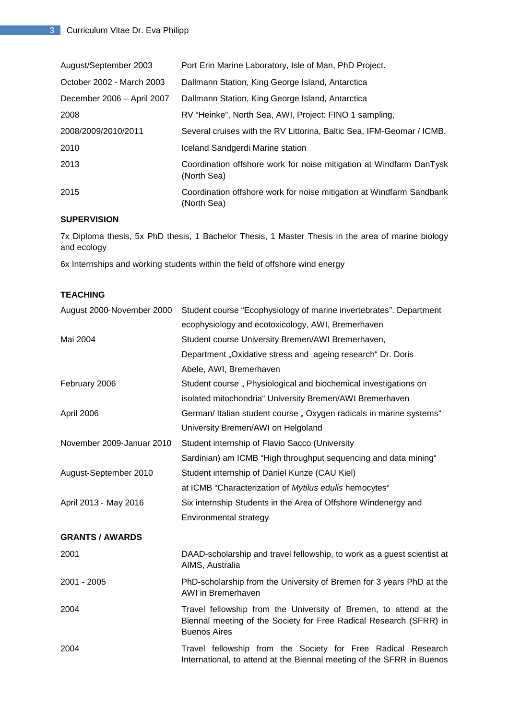| August/September 2003      | Port Erin Marine Laboratory, Isle of Man, PhD Project.                              |
|----------------------------|-------------------------------------------------------------------------------------|
| October 2002 - March 2003  | Dallmann Station, King George Island, Antarctica                                    |
| December 2006 - April 2007 | Dallmann Station, King George Island, Antarctica                                    |
| 2008                       | RV "Heinke", North Sea, AWI, Project: FINO 1 sampling,                              |
| 2008/2009/2010/2011        | Several cruises with the RV Littorina, Baltic Sea, IFM-Geomar / ICMB.               |
| 2010                       | Iceland Sandgerdi Marine station                                                    |
| 2013                       | Coordination offshore work for noise mitigation at Windfarm DanTysk<br>(North Sea)  |
| 2015                       | Coordination offshore work for noise mitigation at Windfarm Sandbank<br>(North Sea) |

# **SUPERVISION**

7x Diploma thesis, 5x PhD thesis, 1 Bachelor Thesis, 1 Master Thesis in the area of marine biology and ecology

6x Internships and working students within the field of offshore wind energy

# **TEACHING**

| August 2000-November 2000 | Student course "Ecophysiology of marine invertebrates". Department                                                                                             |
|---------------------------|----------------------------------------------------------------------------------------------------------------------------------------------------------------|
|                           | ecophysiology and ecotoxicology, AWI, Bremerhaven                                                                                                              |
| Mai 2004                  | Student course University Bremen/AWI Bremerhaven,                                                                                                              |
|                           | Department "Oxidative stress and ageing research" Dr. Doris                                                                                                    |
|                           | Abele, AWI, Bremerhaven                                                                                                                                        |
| February 2006             | Student course, Physiological and biochemical investigations on                                                                                                |
|                           | isolated mitochondria" University Bremen/AWI Bremerhaven                                                                                                       |
| April 2006                | German/ Italian student course, Oxygen radicals in marine systems"                                                                                             |
|                           | University Bremen/AWI on Helgoland                                                                                                                             |
| November 2009-Januar 2010 | Student internship of Flavio Sacco (University                                                                                                                 |
|                           | Sardinian) am ICMB "High throughput sequencing and data mining"                                                                                                |
| August-September 2010     | Student internship of Daniel Kunze (CAU Kiel)                                                                                                                  |
|                           | at ICMB "Characterization of Mytilus edulis hemocytes"                                                                                                         |
| April 2013 - May 2016     | Six internship Students in the Area of Offshore Windenergy and                                                                                                 |
|                           | Environmental strategy                                                                                                                                         |
| <b>GRANTS / AWARDS</b>    |                                                                                                                                                                |
| 2001                      | DAAD-scholarship and travel fellowship, to work as a guest scientist at<br>AIMS, Australia                                                                     |
| 2001 - 2005               | PhD-scholarship from the University of Bremen for 3 years PhD at the<br>AWI in Bremerhaven                                                                     |
| 2004                      | Travel fellowship from the University of Bremen, to attend at the<br>Biennal meeting of the Society for Free Radical Research (SFRR) in<br><b>Buenos Aires</b> |
| 2004                      | Travel fellowship from the Society for Free Radical Research<br>International, to attend at the Biennal meeting of the SFRR in Buenos                          |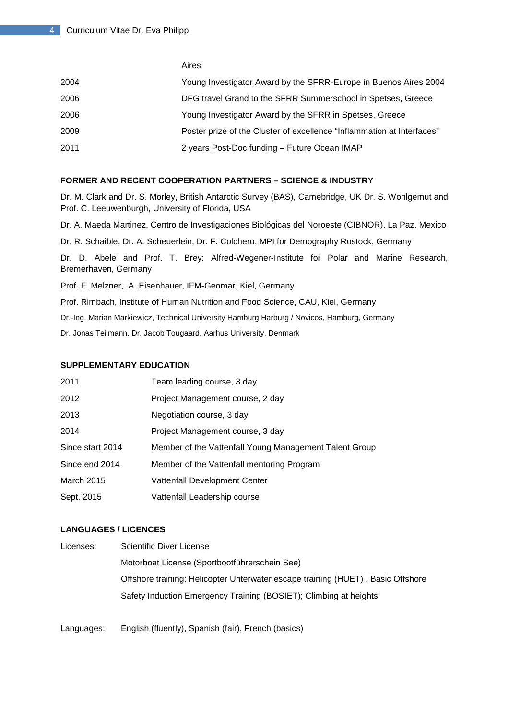|      | Aires                                                                  |
|------|------------------------------------------------------------------------|
| 2004 | Young Investigator Award by the SFRR-Europe in Buenos Aires 2004       |
| 2006 | DFG travel Grand to the SFRR Summerschool in Spetses, Greece           |
| 2006 | Young Investigator Award by the SFRR in Spetses, Greece                |
| 2009 | Poster prize of the Cluster of excellence "Inflammation at Interfaces" |
| 2011 | 2 years Post-Doc funding - Future Ocean IMAP                           |

#### **FORMER AND RECENT COOPERATION PARTNERS – SCIENCE & INDUSTRY**

Dr. M. Clark and Dr. S. Morley, British Antarctic Survey (BAS), Camebridge, UK Dr. S. Wohlgemut and Prof. C. Leeuwenburgh, University of Florida, USA

Dr. A. Maeda Martinez, Centro de Investigaciones Biológicas del Noroeste (CIBNOR), La Paz, Mexico

Dr. R. Schaible, Dr. A. Scheuerlein, Dr. F. Colchero, MPI for Demography Rostock, Germany

Dr. D. Abele and Prof. T. Brey: Alfred-Wegener-Institute for Polar and Marine Research, Bremerhaven, Germany

Prof. F. Melzner,. A. Eisenhauer, IFM-Geomar, Kiel, Germany

Prof. Rimbach, Institute of Human Nutrition and Food Science, CAU, Kiel, Germany

Dr.-Ing. Marian Markiewicz, Technical University Hamburg Harburg / Novicos, Hamburg, Germany

Dr. Jonas Teilmann, Dr. Jacob Tougaard, Aarhus University, Denmark

## **SUPPLEMENTARY EDUCATION**

| 2011              | Team leading course, 3 day                             |
|-------------------|--------------------------------------------------------|
| 2012              | Project Management course, 2 day                       |
| 2013              | Negotiation course, 3 day                              |
| 2014              | Project Management course, 3 day                       |
| Since start 2014  | Member of the Vattenfall Young Management Talent Group |
| Since end 2014    | Member of the Vattenfall mentoring Program             |
| <b>March 2015</b> | Vattenfall Development Center                          |
| Sept. 2015        | Vattenfall Leadership course                           |

# **LANGUAGES / LICENCES**

| Licenses: | Scientific Diver License                                                        |
|-----------|---------------------------------------------------------------------------------|
|           | Motorboat License (Sportbootführerschein See)                                   |
|           | Offshore training: Helicopter Unterwater escape training (HUET), Basic Offshore |
|           | Safety Induction Emergency Training (BOSIET); Climbing at heights               |

Languages: English (fluently), Spanish (fair), French (basics)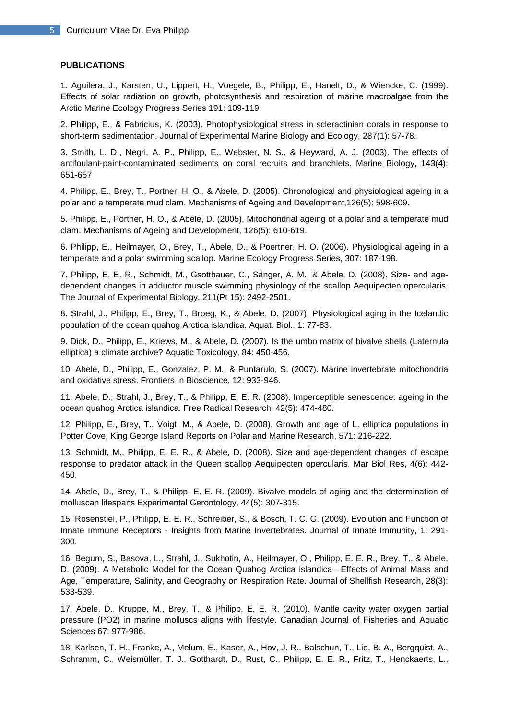#### **PUBLICATIONS**

1. Aguilera, J., Karsten, U., Lippert, H., Voegele, B., Philipp, E., Hanelt, D., & Wiencke, C. (1999). Effects of solar radiation on growth, photosynthesis and respiration of marine macroalgae from the Arctic Marine Ecology Progress Series 191: 109-119.

2. Philipp, E., & Fabricius, K. (2003). Photophysiological stress in scleractinian corals in response to short-term sedimentation. Journal of Experimental Marine Biology and Ecology, 287(1): 57-78.

3. Smith, L. D., Negri, A. P., Philipp, E., Webster, N. S., & Heyward, A. J. (2003). The effects of antifoulant-paint-contaminated sediments on coral recruits and branchlets. Marine Biology, 143(4): 651-657

4. Philipp, E., Brey, T., Portner, H. O., & Abele, D. (2005). Chronological and physiological ageing in a polar and a temperate mud clam. Mechanisms of Ageing and Development,126(5): 598-609.

5. Philipp, E., Pörtner, H. O., & Abele, D. (2005). Mitochondrial ageing of a polar and a temperate mud clam. Mechanisms of Ageing and Development, 126(5): 610-619.

6. Philipp, E., Heilmayer, O., Brey, T., Abele, D., & Poertner, H. O. (2006). Physiological ageing in a temperate and a polar swimming scallop. Marine Ecology Progress Series, 307: 187-198.

7. Philipp, E. E. R., Schmidt, M., Gsottbauer, C., Sänger, A. M., & Abele, D. (2008). Size- and agedependent changes in adductor muscle swimming physiology of the scallop Aequipecten opercularis. The Journal of Experimental Biology, 211(Pt 15): 2492-2501.

8. Strahl, J., Philipp, E., Brey, T., Broeg, K., & Abele, D. (2007). Physiological aging in the Icelandic population of the ocean quahog Arctica islandica. Aquat. Biol., 1: 77-83.

9. Dick, D., Philipp, E., Kriews, M., & Abele, D. (2007). Is the umbo matrix of bivalve shells (Laternula elliptica) a climate archive? Aquatic Toxicology, 84: 450-456.

10. Abele, D., Philipp, E., Gonzalez, P. M., & Puntarulo, S. (2007). Marine invertebrate mitochondria and oxidative stress. Frontiers In Bioscience, 12: 933-946.

11. Abele, D., Strahl, J., Brey, T., & Philipp, E. E. R. (2008). Imperceptible senescence: ageing in the ocean quahog Arctica islandica. Free Radical Research, 42(5): 474-480.

12. Philipp, E., Brey, T., Voigt, M., & Abele, D. (2008). Growth and age of L. elliptica populations in Potter Cove, King George Island Reports on Polar and Marine Research, 571: 216-222.

13. Schmidt, M., Philipp, E. E. R., & Abele, D. (2008). Size and age-dependent changes of escape response to predator attack in the Queen scallop Aequipecten opercularis. Mar Biol Res, 4(6): 442- 450.

14. Abele, D., Brey, T., & Philipp, E. E. R. (2009). Bivalve models of aging and the determination of molluscan lifespans Experimental Gerontology, 44(5): 307-315.

15. Rosenstiel, P., Philipp, E. E. R., Schreiber, S., & Bosch, T. C. G. (2009). Evolution and Function of Innate Immune Receptors - Insights from Marine Invertebrates. Journal of Innate Immunity, 1: 291- 300.

16. Begum, S., Basova, L., Strahl, J., Sukhotin, A., Heilmayer, O., Philipp, E. E. R., Brey, T., & Abele, D. (2009). A Metabolic Model for the Ocean Quahog Arctica islandica—Effects of Animal Mass and Age, Temperature, Salinity, and Geography on Respiration Rate. Journal of Shellfish Research, 28(3): 533-539.

17. Abele, D., Kruppe, M., Brey, T., & Philipp, E. E. R. (2010). Mantle cavity water oxygen partial pressure (PO2) in marine molluscs aligns with lifestyle. Canadian Journal of Fisheries and Aquatic Sciences 67: 977-986.

18. Karlsen, T. H., Franke, A., Melum, E., Kaser, A., Hov, J. R., Balschun, T., Lie, B. A., Bergquist, A., Schramm, C., Weismüller, T. J., Gotthardt, D., Rust, C., Philipp, E. E. R., Fritz, T., Henckaerts, L.,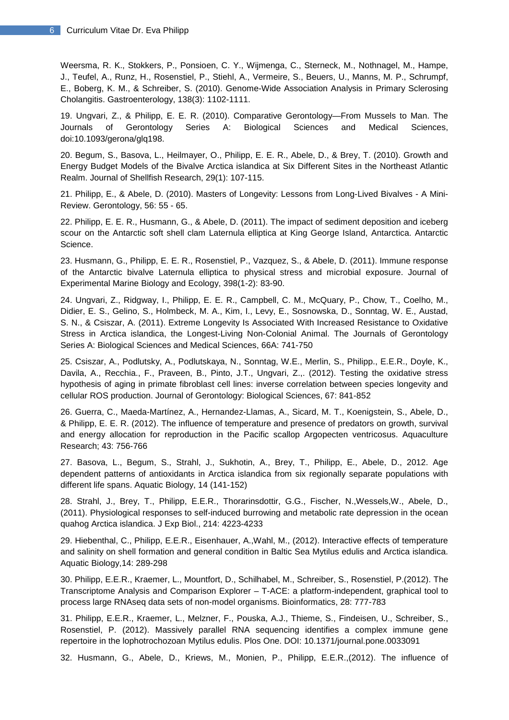Weersma, R. K., Stokkers, P., Ponsioen, C. Y., Wijmenga, C., Sterneck, M., Nothnagel, M., Hampe, J., Teufel, A., Runz, H., Rosenstiel, P., Stiehl, A., Vermeire, S., Beuers, U., Manns, M. P., Schrumpf, E., Boberg, K. M., & Schreiber, S. (2010). Genome-Wide Association Analysis in Primary Sclerosing Cholangitis. Gastroenterology, 138(3): 1102-1111.

19. Ungvari, Z., & Philipp, E. E. R. (2010). Comparative Gerontology—From Mussels to Man. The Journals of Gerontology Series A: Biological Sciences and Medical Sciences, doi:10.1093/gerona/glq198.

20. Begum, S., Basova, L., Heilmayer, O., Philipp, E. E. R., Abele, D., & Brey, T. (2010). Growth and Energy Budget Models of the Bivalve Arctica islandica at Six Different Sites in the Northeast Atlantic Realm. Journal of Shellfish Research, 29(1): 107-115.

21. Philipp, E., & Abele, D. (2010). Masters of Longevity: Lessons from Long-Lived Bivalves - A Mini-Review. Gerontology, 56: 55 - 65.

22. Philipp, E. E. R., Husmann, G., & Abele, D. (2011). The impact of sediment deposition and iceberg scour on the Antarctic soft shell clam Laternula elliptica at King George Island, Antarctica. Antarctic Science.

23. Husmann, G., Philipp, E. E. R., Rosenstiel, P., Vazquez, S., & Abele, D. (2011). Immune response of the Antarctic bivalve Laternula elliptica to physical stress and microbial exposure. Journal of Experimental Marine Biology and Ecology, 398(1-2): 83-90.

24. Ungvari, Z., Ridgway, I., Philipp, E. E. R., Campbell, C. M., McQuary, P., Chow, T., Coelho, M., Didier, E. S., Gelino, S., Holmbeck, M. A., Kim, I., Levy, E., Sosnowska, D., Sonntag, W. E., Austad, S. N., & Csiszar, A. (2011). Extreme Longevity Is Associated With Increased Resistance to Oxidative Stress in Arctica islandica, the Longest-Living Non-Colonial Animal. The Journals of Gerontology Series A: Biological Sciences and Medical Sciences, 66A: 741-750

25. Csiszar, A., Podlutsky, A., Podlutskaya, N., Sonntag, W.E., Merlin, S., Philipp., E.E.R., Doyle, K., Davila, A., Recchia., F., Praveen, B., Pinto, J.T., Ungvari, Z.,. (2012). Testing the oxidative stress hypothesis of aging in primate fibroblast cell lines: inverse correlation between species longevity and cellular ROS production. Journal of Gerontology: Biological Sciences, 67: 841-852

26. Guerra, C., Maeda-Martínez, A., Hernandez-Llamas, A., Sicard, M. T., Koenigstein, S., Abele, D., & Philipp, E. E. R. (2012). The influence of temperature and presence of predators on growth, survival and energy allocation for reproduction in the Pacific scallop Argopecten ventricosus. Aquaculture Research; 43: 756-766

27. Basova, L., Begum, S., Strahl, J., Sukhotin, A., Brey, T., Philipp, E., Abele, D., 2012. Age dependent patterns of antioxidants in Arctica islandica from six regionally separate populations with different life spans. Aquatic Biology, 14 (141-152)

28. Strahl, J., Brey, T., Philipp, E.E.R., Thorarinsdottir, G.G., Fischer, N.,Wessels,W., Abele, D., (2011). Physiological responses to self-induced burrowing and metabolic rate depression in the ocean quahog Arctica islandica. J Exp Biol., 214: 4223-4233

29. Hiebenthal, C., Philipp, E.E.R., Eisenhauer, A.,Wahl, M., (2012). Interactive effects of temperature and salinity on shell formation and general condition in Baltic Sea Mytilus edulis and Arctica islandica. Aquatic Biology,14: 289-298

30. Philipp, E.E.R., Kraemer, L., Mountfort, D., Schilhabel, M., Schreiber, S., Rosenstiel, P.(2012). The Transcriptome Analysis and Comparison Explorer – T-ACE: a platform-independent, graphical tool to process large RNAseq data sets of non-model organisms. Bioinformatics, 28: 777-783

31. Philipp, E.E.R., Kraemer, L., Melzner, F., Pouska, A.J., Thieme, S., Findeisen, U., Schreiber, S., Rosenstiel, P. (2012). Massively parallel RNA sequencing identifies a complex immune gene repertoire in the lophotrochozoan Mytilus edulis. Plos One. DOI: 10.1371/journal.pone.0033091

32. Husmann, G., Abele, D., Kriews, M., Monien, P., Philipp, E.E.R.,(2012). The influence of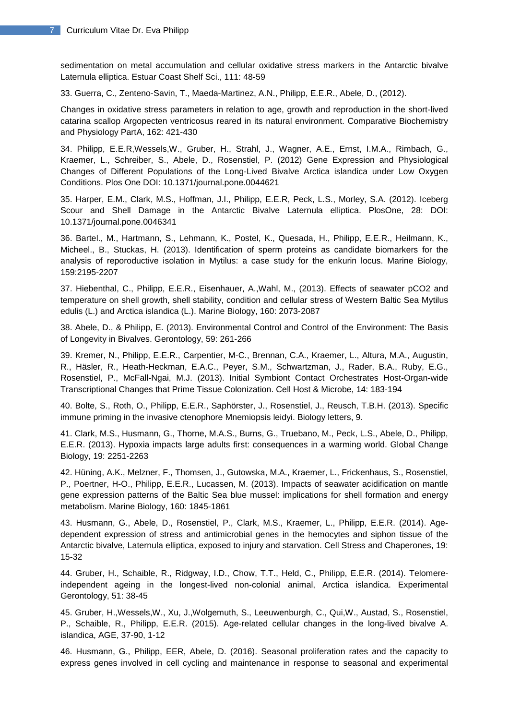sedimentation on metal accumulation and cellular oxidative stress markers in the Antarctic bivalve Laternula elliptica. Estuar Coast Shelf Sci., 111: 48-59

33. Guerra, C., Zenteno-Savin, T., Maeda-Martinez, A.N., Philipp, E.E.R., Abele, D., (2012).

Changes in oxidative stress parameters in relation to age, growth and reproduction in the short-lived catarina scallop Argopecten ventricosus reared in its natural environment. Comparative Biochemistry and Physiology PartA, 162: 421-430

34. Philipp, E.E.R,Wessels,W., Gruber, H., Strahl, J., Wagner, A.E., Ernst, I.M.A., Rimbach, G., Kraemer, L., Schreiber, S., Abele, D., Rosenstiel, P. (2012) Gene Expression and Physiological Changes of Different Populations of the Long-Lived Bivalve Arctica islandica under Low Oxygen Conditions. Plos One DOI: 10.1371/journal.pone.0044621

35. Harper, E.M., Clark, M.S., Hoffman, J.I., Philipp, E.E.R, Peck, L.S., Morley, S.A. (2012). Iceberg Scour and Shell Damage in the Antarctic Bivalve Laternula elliptica. PlosOne, 28: DOI: 10.1371/journal.pone.0046341

36. Bartel., M., Hartmann, S., Lehmann, K., Postel, K., Quesada, H., Philipp, E.E.R., Heilmann, K., Micheel., B., Stuckas, H. (2013). Identification of sperm proteins as candidate biomarkers for the analysis of reporoductive isolation in Mytilus: a case study for the enkurin locus. Marine Biology, 159:2195-2207

37. Hiebenthal, C., Philipp, E.E.R., Eisenhauer, A.,Wahl, M., (2013). Effects of seawater pCO2 and temperature on shell growth, shell stability, condition and cellular stress of Western Baltic Sea Mytilus edulis (L.) and Arctica islandica (L.). Marine Biology, 160: 2073-2087

38. Abele, D., & Philipp, E. (2013). Environmental Control and Control of the Environment: The Basis of Longevity in Bivalves. Gerontology, 59: 261-266

39. Kremer, N., Philipp, E.E.R., Carpentier, M-C., Brennan, C.A., Kraemer, L., Altura, M.A., Augustin, R., Häsler, R., Heath-Heckman, E.A.C., Peyer, S.M., Schwartzman, J., Rader, B.A., Ruby, E.G., Rosenstiel, P., McFall-Ngai, M.J. (2013). Initial Symbiont Contact Orchestrates Host-Organ-wide Transcriptional Changes that Prime Tissue Colonization. Cell Host & Microbe, 14: 183-194

40. Bolte, S., Roth, O., Philipp, E.E.R., Saphörster, J., Rosenstiel, J., Reusch, T.B.H. (2013). Specific immune priming in the invasive ctenophore Mnemiopsis leidyi. Biology letters, 9.

41. Clark, M.S., Husmann, G., Thorne, M.A.S., Burns, G., Truebano, M., Peck, L.S., Abele, D., Philipp, E.E.R. (2013). Hypoxia impacts large adults first: consequences in a warming world. Global Change Biology, 19: 2251-2263

42. Hüning, A.K., Melzner, F., Thomsen, J., Gutowska, M.A., Kraemer, L., Frickenhaus, S., Rosenstiel, P., Poertner, H-O., Philipp, E.E.R., Lucassen, M. (2013). Impacts of seawater acidification on mantle gene expression patterns of the Baltic Sea blue mussel: implications for shell formation and energy metabolism. Marine Biology, 160: 1845-1861

43. Husmann, G., Abele, D., Rosenstiel, P., Clark, M.S., Kraemer, L., Philipp, E.E.R. (2014). Agedependent expression of stress and antimicrobial genes in the hemocytes and siphon tissue of the Antarctic bivalve, Laternula elliptica, exposed to injury and starvation. Cell Stress and Chaperones, 19: 15-32

44. Gruber, H., Schaible, R., Ridgway, I.D., Chow, T.T., Held, C., Philipp, E.E.R. (2014). Telomereindependent ageing in the longest-lived non-colonial animal, Arctica islandica. Experimental Gerontology, 51: 38-45

45. Gruber, H.,Wessels,W., Xu, J.,Wolgemuth, S., Leeuwenburgh, C., Qui,W., Austad, S., Rosenstiel, P., Schaible, R., Philipp, E.E.R. (2015). [Age-related cellular changes in the long-lived bivalve A.](http://link.springer.com/article/10.1007/s11357-015-9831-8)  [islandica,](http://link.springer.com/article/10.1007/s11357-015-9831-8) AGE, 37-90, 1-12

46. Husmann, G., Philipp, EER, Abele, D. (2016). Seasonal proliferation rates and the capacity to express genes involved in cell cycling and maintenance in response to seasonal and experimental